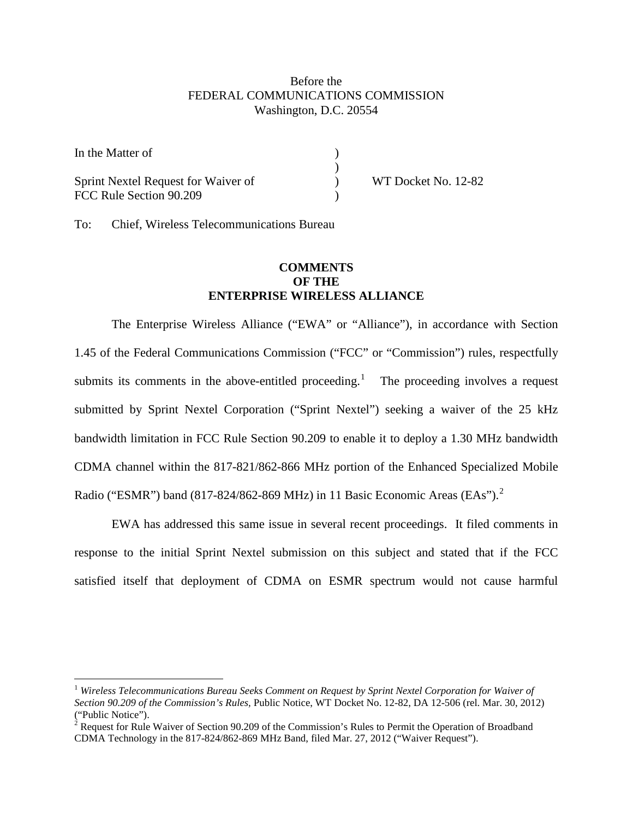## Before the FEDERAL COMMUNICATIONS COMMISSION Washington, D.C. 20554

| In the Matter of                                               |                     |
|----------------------------------------------------------------|---------------------|
| Sprint Nextel Request for Waiver of<br>FCC Rule Section 90.209 | WT Docket No. 12-82 |

To: Chief, Wireless Telecommunications Bureau

## **COMMENTS OF THE ENTERPRISE WIRELESS ALLIANCE**

The Enterprise Wireless Alliance ("EWA" or "Alliance"), in accordance with Section 1.45 of the Federal Communications Commission ("FCC" or "Commission") rules, respectfully submits its comments in the above-entitled proceeding.<sup>[1](#page-0-0)</sup> The proceeding involves a request submitted by Sprint Nextel Corporation ("Sprint Nextel") seeking a waiver of the 25 kHz bandwidth limitation in FCC Rule Section 90.209 to enable it to deploy a 1.30 MHz bandwidth CDMA channel within the 817-821/862-866 MHz portion of the Enhanced Specialized Mobile Radio ("ESMR") band (817-8[2](#page-0-1)4/862-869 MHz) in 11 Basic Economic Areas (EAs").<sup>2</sup>

EWA has addressed this same issue in several recent proceedings. It filed comments in response to the initial Sprint Nextel submission on this subject and stated that if the FCC satisfied itself that deployment of CDMA on ESMR spectrum would not cause harmful

<span id="page-0-0"></span> <sup>1</sup> *Wireless Telecommunications Bureau Seeks Comment on Request by Sprint Nextel Corporation for Waiver of Section 90.209 of the Commission's Rules,* Public Notice, WT Docket No. 12-82, DA 12-506 (rel. Mar. 30, 2012) ("Public Notice").

<span id="page-0-1"></span><sup>&</sup>lt;sup>2</sup> Request for Rule Waiver of Section 90.209 of the Commission's Rules to Permit the Operation of Broadband CDMA Technology in the 817-824/862-869 MHz Band, filed Mar. 27, 2012 ("Waiver Request").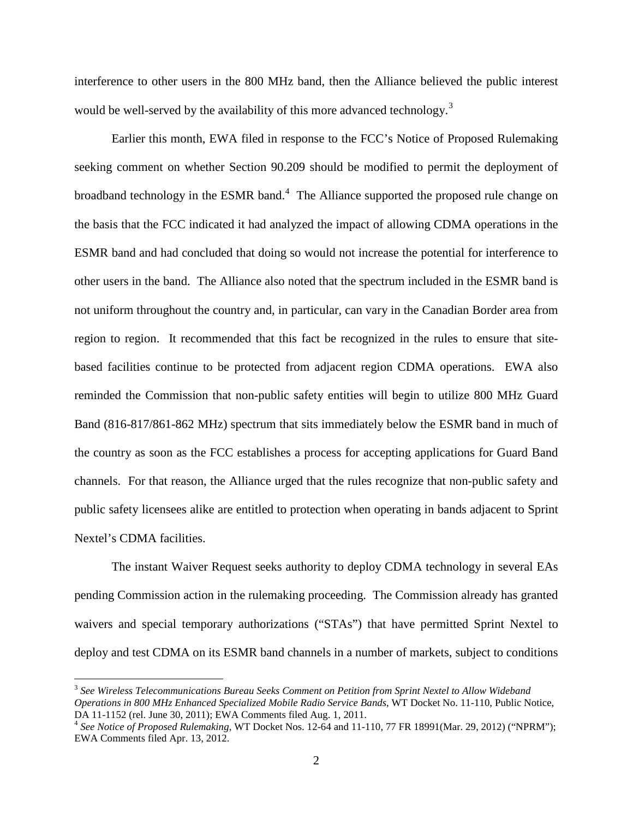interference to other users in the 800 MHz band, then the Alliance believed the public interest would be well-served by the availability of this more advanced technology.<sup>[3](#page-1-0)</sup>

Earlier this month, EWA filed in response to the FCC's Notice of Proposed Rulemaking seeking comment on whether Section 90.209 should be modified to permit the deployment of broadband technology in the ESMR band.<sup>[4](#page-1-1)</sup> The Alliance supported the proposed rule change on the basis that the FCC indicated it had analyzed the impact of allowing CDMA operations in the ESMR band and had concluded that doing so would not increase the potential for interference to other users in the band. The Alliance also noted that the spectrum included in the ESMR band is not uniform throughout the country and, in particular, can vary in the Canadian Border area from region to region. It recommended that this fact be recognized in the rules to ensure that sitebased facilities continue to be protected from adjacent region CDMA operations. EWA also reminded the Commission that non-public safety entities will begin to utilize 800 MHz Guard Band (816-817/861-862 MHz) spectrum that sits immediately below the ESMR band in much of the country as soon as the FCC establishes a process for accepting applications for Guard Band channels. For that reason, the Alliance urged that the rules recognize that non-public safety and public safety licensees alike are entitled to protection when operating in bands adjacent to Sprint Nextel's CDMA facilities.

The instant Waiver Request seeks authority to deploy CDMA technology in several EAs pending Commission action in the rulemaking proceeding. The Commission already has granted waivers and special temporary authorizations ("STAs") that have permitted Sprint Nextel to deploy and test CDMA on its ESMR band channels in a number of markets, subject to conditions

<span id="page-1-0"></span> <sup>3</sup> *See Wireless Telecommunications Bureau Seeks Comment on Petition from Sprint Nextel to Allow Wideband Operations in 800 MHz Enhanced Specialized Mobile Radio Service Bands*, WT Docket No. 11-110, Public Notice,

<span id="page-1-1"></span><sup>&</sup>lt;sup>4</sup> See Notice of Proposed Rulemaking, WT Docket Nos. 12-64 and 11-110, 77 FR 18991(Mar. 29, 2012) ("NPRM"); EWA Comments filed Apr. 13, 2012.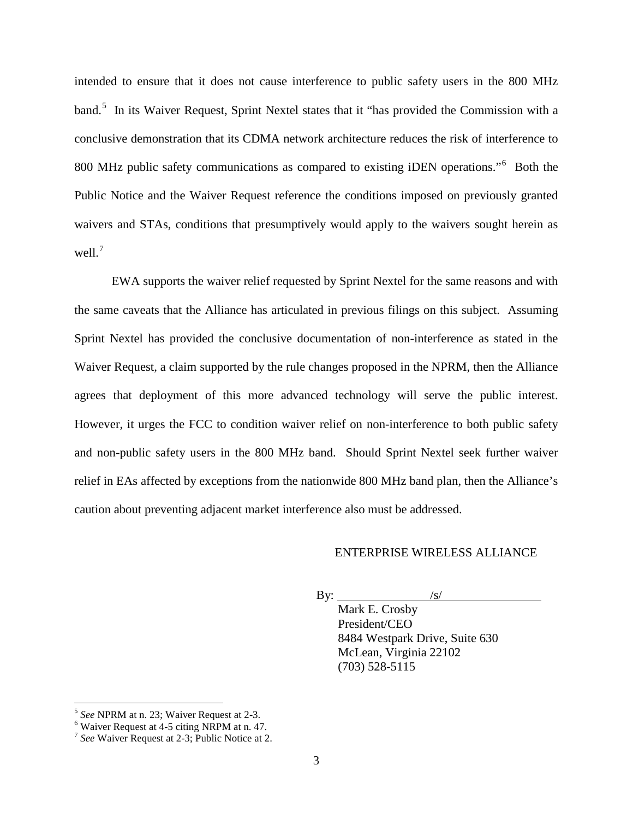intended to ensure that it does not cause interference to public safety users in the 800 MHz band.<sup>[5](#page-2-0)</sup> In its Waiver Request, Sprint Nextel states that it "has provided the Commission with a conclusive demonstration that its CDMA network architecture reduces the risk of interference to 800 MHz public safety communications as compared to existing iDEN operations."<sup>[6](#page-2-1)</sup> Both the Public Notice and the Waiver Request reference the conditions imposed on previously granted waivers and STAs, conditions that presumptively would apply to the waivers sought herein as well.<sup>[7](#page-2-2)</sup>

EWA supports the waiver relief requested by Sprint Nextel for the same reasons and with the same caveats that the Alliance has articulated in previous filings on this subject. Assuming Sprint Nextel has provided the conclusive documentation of non-interference as stated in the Waiver Request, a claim supported by the rule changes proposed in the NPRM, then the Alliance agrees that deployment of this more advanced technology will serve the public interest. However, it urges the FCC to condition waiver relief on non-interference to both public safety and non-public safety users in the 800 MHz band. Should Sprint Nextel seek further waiver relief in EAs affected by exceptions from the nationwide 800 MHz band plan, then the Alliance's caution about preventing adjacent market interference also must be addressed.

## ENTERPRISE WIRELESS ALLIANCE

By:  $\frac{|s|}{|s|}$ Mark E. Crosby President/CEO 8484 Westpark Drive, Suite 630 McLean, Virginia 22102 (703) 528-5115

<span id="page-2-1"></span>

<span id="page-2-0"></span><sup>&</sup>lt;sup>5</sup> *See* NPRM at n. 23; Waiver Request at 2-3.<br><sup>6</sup> Waiver Request at 4-5 citing NRPM at n. 47.<br><sup>7</sup> *See* Waiver Request at 2-3; Public Notice at 2.

<span id="page-2-2"></span>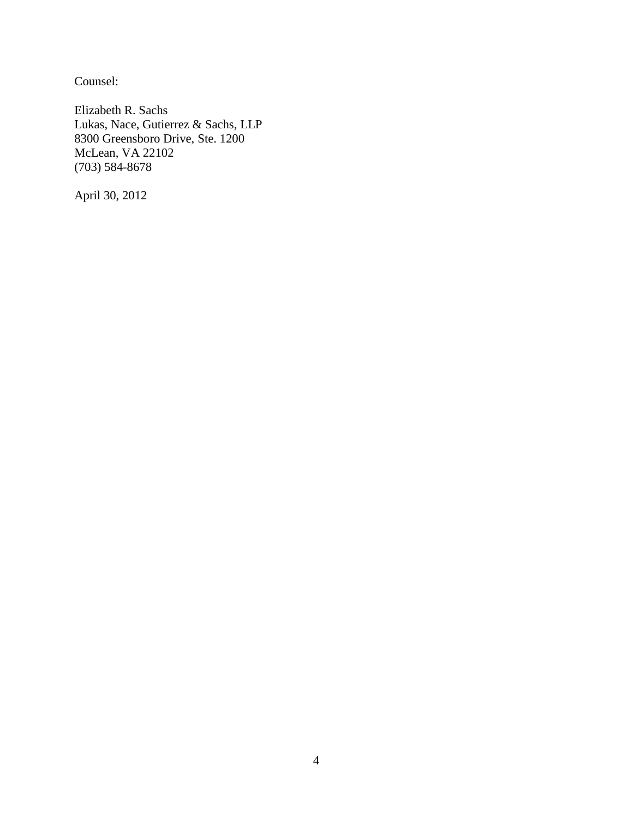Counsel:

Elizabeth R. Sachs Lukas, Nace, Gutierrez & Sachs, LLP 8300 Greensboro Drive, Ste. 1200 McLean, VA 22102 (703) 584-8678

April 30, 2012